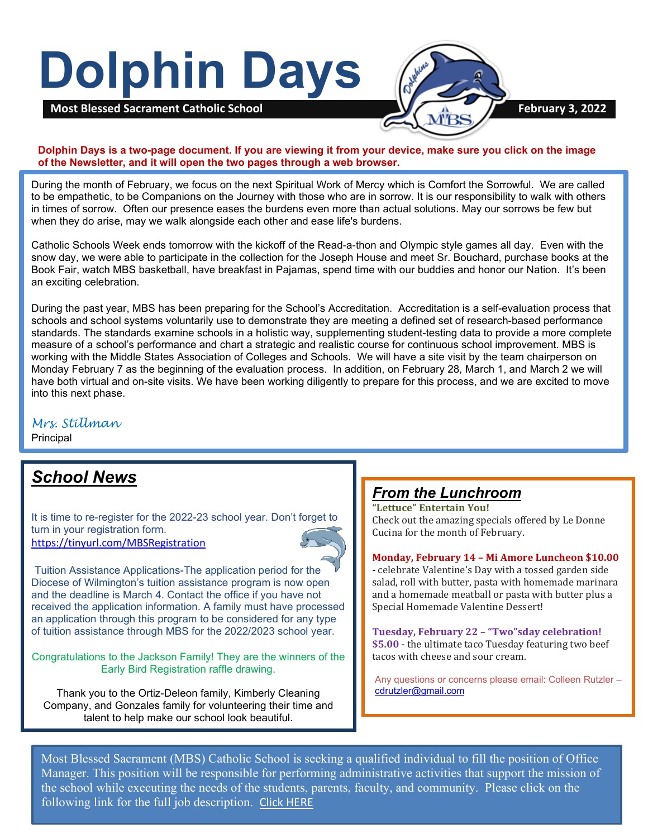# **Dolphin Days**



**Dolphin Days is a two-page document. If you are viewing it from your device, make sure you click on the image of the Newsletter, and it will open the two pages through a web browser.**

During the month of February, we focus on the next Spiritual Work of Mercy which is Comfort the Sorrowful. We are called to be empathetic, to be Companions on the Journey with those who are in sorrow. It is our responsibility to walk with others in times of sorrow. Often our presence eases the burdens even more than actual solutions. May our sorrows be few but when they do arise, may we walk alongside each other and ease life's burdens.

Catholic Schools Week ends tomorrow with the kickoff of the Read-a-thon and Olympic style games all day. Even with the snow day, we were able to participate in the collection for the Joseph House and meet Sr. Bouchard, purchase books at the Book Fair, watch MBS basketball, have breakfast in Pajamas, spend time with our buddies and honor our Nation. It's been an exciting celebration.

During the past year, MBS has been preparing for the School's Accreditation. Accreditation is a self-evaluation process that schools and school systems voluntarily use to demonstrate they are meeting a defined set of research-based performance standards. The standards examine schools in a holistic way, supplementing student-testing data to provide a more complete measure of a school's performance and chart a strategic and realistic course for continuous school improvement. MBS is working with the Middle States Association of Colleges and Schools. We will have a site visit by the team chairperson on Monday February 7 as the beginning of the evaluation process. In addition, on February 28, March 1, and March 2 we will have both virtual and on-site visits. We have been working diligently to prepare for this process, and we are excited to move into this next phase.

#### *Mrs. Stillman*

Principal

# *School News*

It is time to re-register for the 2022-23 school year. Don't forget to turn in your registration form. [https://tinyurl.com/MBSRegistration](https://nam11.safelinks.protection.outlook.com/?url=https%3A%2F%2Ftinyurl.com%2FMBSRegistration&data=04%7C01%7C%7C2161864bf0d14963e73908d9e71f5dd5%7C379336db33b747f882778ec04b5335cc%7C1%7C0%7C637794944183364680%7CUnknown%7CTWFpbGZsb3d8eyJWIjoiMC4wLjAwMDAiLCJQIjoiV2luMzIiLCJBTiI6Ik1haWwiLCJXVCI6Mn0%3D%7C3000&sdata=RQlruae44SedGo1g2kFGVSaBqwqCDuJZA2%2FJyt1WdYw%3D&reserved=0)



Tuition Assistance Applications-The application period for the Diocese of Wilmington's tuition assistance program is now open and the deadline is March 4. Contact the office if you have not received the application information. A family must have processed an application through this program to be considered for any type of tuition assistance through MBS for the 2022/2023 school year.

Congratulations to the Jackson Family! They are the winners of the Early Bird Registration raffle drawing.

Thank you to the Ortiz-Deleon family, Kimberly Cleaning Company, and Gonzales family for volunteering their time and talent to help make our school look beautiful.

## *From the Lunchroom*

**"Lettuce" Entertain You!** Check out the amazing specials offered by Le Donne Cucina for the month of February.

**Monday, February 14 – Mi Amore Luncheon \$10.00**

**-** celebrate Valentine's Day with a tossed garden side salad, roll with butter, pasta with homemade marinara and a homemade meatball or pasta with butter plus a Special Homemade Valentine Dessert!

**Tuesday, February 22 – "Two"sday celebration! \$5.00** - the ultimate taco Tuesday featuring two beef tacos with cheese and sour cream.

Any questions or concerns please email: Colleen Rutzler – [cdrutzler@gmail.com](mailto:cdrutzler@gmail.com)

Most Blessed Sacrament (MBS) Catholic School is seeking a qualified individual to fill the position of Office Manager. This position will be responsible for performing administrative activities that support the mission of the school while executing the needs of the students, parents, faculty, and community. Please click on the following link for the full job description. [Click HERE](https://tinyurl.com/MBSOfficeManager)